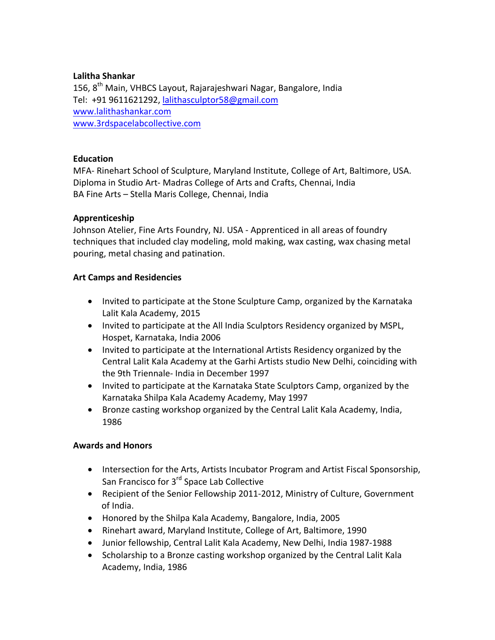### **Lalitha Shankar**

156, 8<sup>th</sup> Main, VHBCS Layout, Rajarajeshwari Nagar, Bangalore, India Tel: +91 9611621292, lalithasculptor58@gmail.com www.lalithashankar.com www.3rdspacelabcollective.com

## **Education**

MFA- Rinehart School of Sculpture, Maryland Institute, College of Art, Baltimore, USA. Diploma in Studio Art- Madras College of Arts and Crafts, Chennai, India BA Fine Arts - Stella Maris College, Chennai, India

## **Apprenticeship**

Johnson Atelier, Fine Arts Foundry, NJ. USA - Apprenticed in all areas of foundry techniques that included clay modeling, mold making, wax casting, wax chasing metal pouring, metal chasing and patination.

## **Art Camps and Residencies**

- Invited to participate at the Stone Sculpture Camp, organized by the Karnataka Lalit Kala Academy, 2015
- Invited to participate at the All India Sculptors Residency organized by MSPL, Hospet, Karnataka, India 2006
- Invited to participate at the International Artists Residency organized by the Central Lalit Kala Academy at the Garhi Artists studio New Delhi, coinciding with the 9th Triennale- India in December 1997
- Invited to participate at the Karnataka State Sculptors Camp, organized by the Karnataka Shilpa Kala Academy Academy, May 1997
- Bronze casting workshop organized by the Central Lalit Kala Academy, India, 1986

# **Awards and Honors**

- Intersection for the Arts, Artists Incubator Program and Artist Fiscal Sponsorship, San Francisco for 3<sup>rd</sup> Space Lab Collective
- Recipient of the Senior Fellowship 2011-2012, Ministry of Culture, Government of India.
- Honored by the Shilpa Kala Academy, Bangalore, India, 2005
- Rinehart award, Maryland Institute, College of Art, Baltimore, 1990
- Junior fellowship, Central Lalit Kala Academy, New Delhi, India 1987-1988
- Scholarship to a Bronze casting workshop organized by the Central Lalit Kala Academy, India, 1986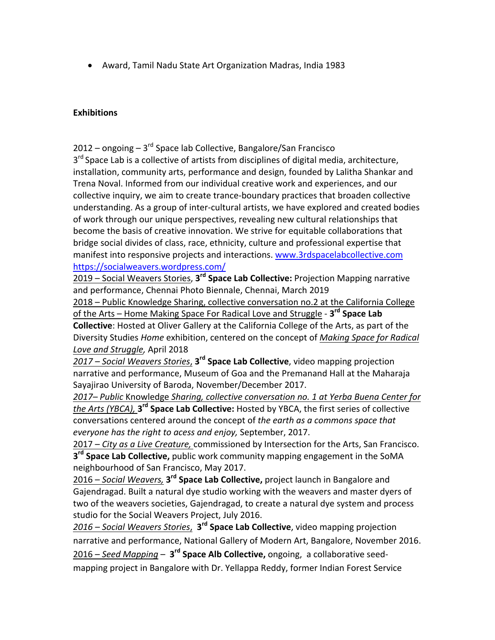• Award, Tamil Nadu State Art Organization Madras, India 1983

#### **Exhibitions**

2012 – ongoing – 3<sup>rd</sup> Space lab Collective, Bangalore/San Francisco  $3<sup>rd</sup>$  Space Lab is a collective of artists from disciplines of digital media, architecture, installation, community arts, performance and design, founded by Lalitha Shankar and Trena Noval. Informed from our individual creative work and experiences, and our collective inquiry, we aim to create trance-boundary practices that broaden collective understanding. As a group of inter-cultural artists, we have explored and created bodies of work through our unique perspectives, revealing new cultural relationships that become the basis of creative innovation. We strive for equitable collaborations that bridge social divides of class, race, ethnicity, culture and professional expertise that manifest into responsive projects and interactions. www.3rdspacelabcollective.com https://socialweavers.wordpress.com/

2019 – Social Weavers Stories, 3<sup>rd</sup> Space Lab Collective: Projection Mapping narrative and performance, Chennai Photo Biennale, Chennai, March 2019

2018 - Public Knowledge Sharing, collective conversation no.2 at the California College of the Arts – Home Making Space For Radical Love and Struggle - 3<sup>rd</sup> Space Lab

**Collective:** Hosted at Oliver Gallery at the California College of the Arts, as part of the Diversity Studies Home exhibition, centered on the concept of *Making Space for Radical* Love and Struggle, April 2018

*2017 – Social Weavers Stories*, **3rd Space Lab Collective**, video mapping projection narrative and performance, Museum of Goa and the Premanand Hall at the Maharaia Sayajirao University of Baroda, November/December 2017.

2017– Public Knowledge Sharing, collective conversation no. 1 at Yerba Buena Center for *the Arts (YBCA),* 3<sup>rd</sup> Space Lab Collective: Hosted by YBCA, the first series of collective conversations centered around the concept of the earth as a commons space that *everyone has the right to acess and enjoy,* September, 2017.

2017 – *City as a Live Creature,* commissioned by Intersection for the Arts, San Francisco. **3<sup>rd</sup> Space Lab Collective,** public work community mapping engagement in the SoMA neighbourhood of San Francisco, May 2017.

2016 – Social Weavers, 3<sup>rd</sup> Space Lab Collective, project launch in Bangalore and Gajendragad. Built a natural dye studio working with the weavers and master dyers of two of the weavers societies, Gajendragad, to create a natural dye system and process studio for the Social Weavers Project, July 2016.

2016 – Social Weavers Stories, 3<sup>rd</sup> Space Lab Collective, video mapping projection narrative and performance, National Gallery of Modern Art, Bangalore, November 2016. 2016 – Seed Mapping – 3<sup>rd</sup> Space Alb Collective, ongoing, a collaborative seedmapping project in Bangalore with Dr. Yellappa Reddy, former Indian Forest Service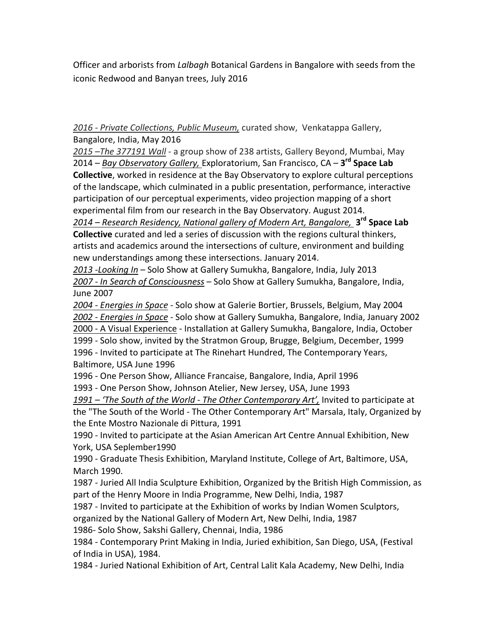Officer and arborists from *Lalbagh* Botanical Gardens in Bangalore with seeds from the iconic Redwood and Banyan trees, July 2016

2016 - Private Collections, Public Museum, curated show, Venkatappa Gallery, Bangalore, India, May 2016

2015 -The 377191 Wall - a group show of 238 artists, Gallery Beyond, Mumbai, May 2014 – *Bay Observatory Gallery,* Exploratorium, San Francisco, CA – 3<sup>rd</sup> Space Lab **Collective**, worked in residence at the Bay Observatory to explore cultural perceptions of the landscape, which culminated in a public presentation, performance, interactive participation of our perceptual experiments, video projection mapping of a short experimental film from our research in the Bay Observatory. August 2014.

2014 – Research Residency, National gallery of Modern Art, Bangalore, **3<sup>rd</sup> Space Lab Collective** curated and led a series of discussion with the regions cultural thinkers, artists and academics around the intersections of culture, environment and building new understandings among these intersections. January 2014.

*2013 -Looking In* – Solo Show at Gallery Sumukha, Bangalore, India, July 2013 2007 - In Search of Consciousness - Solo Show at Gallery Sumukha, Bangalore, India, June 2007 

*2004 - Energies in Space - Solo show at Galerie Bortier, Brussels, Belgium, May 2004* 2002 - *Energies in Space* - Solo show at Gallery Sumukha, Bangalore, India, January 2002 2000 - A Visual Experience - Installation at Gallery Sumukha, Bangalore, India, October 1999 - Solo show, invited by the Stratmon Group, Brugge, Belgium, December, 1999 1996 - Invited to participate at The Rinehart Hundred, The Contemporary Years,

Baltimore, USA June 1996

1996 - One Person Show, Alliance Francaise, Bangalore, India, April 1996

1993 - One Person Show, Johnson Atelier, New Jersey, USA, June 1993

1991 – 'The South of the World - The Other Contemporary Art', Invited to participate at the "The South of the World - The Other Contemporary Art" Marsala, Italy, Organized by the Ente Mostro Nazionale di Pittura, 1991

1990 - Invited to participate at the Asian American Art Centre Annual Exhibition, New York, USA Seplember1990

1990 - Graduate Thesis Exhibition, Maryland Institute, College of Art, Baltimore, USA, March 1990.

1987 - Juried All India Sculpture Exhibition, Organized by the British High Commission, as part of the Henry Moore in India Programme, New Delhi, India, 1987

1987 - Invited to participate at the Exhibition of works by Indian Women Sculptors, organized by the National Gallery of Modern Art, New Delhi, India, 1987

1986- Solo Show, Sakshi Gallery, Chennai, India, 1986

1984 - Contemporary Print Making in India, Juried exhibition, San Diego, USA, (Festival of India in USA), 1984.

1984 - Juried National Exhibition of Art, Central Lalit Kala Academy, New Delhi, India